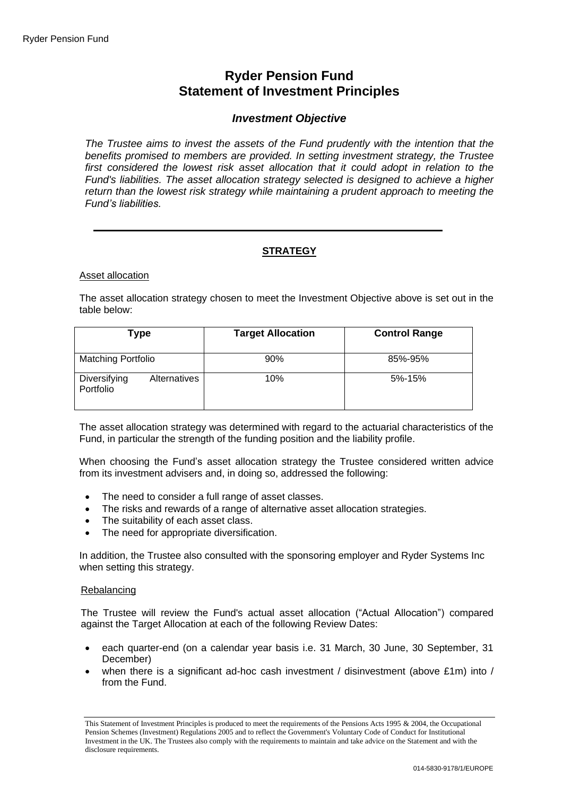# **Ryder Pension Fund Statement of Investment Principles**

# *Investment Objective*

*The Trustee aims to invest the assets of the Fund prudently with the intention that the benefits promised to members are provided. In setting investment strategy, the Trustee first considered the lowest risk asset allocation that it could adopt in relation to the Fund's liabilities. The asset allocation strategy selected is designed to achieve a higher return than the lowest risk strategy while maintaining a prudent approach to meeting the Fund's liabilities.*

# **STRATEGY**

### Asset allocation

The asset allocation strategy chosen to meet the Investment Objective above is set out in the table below:

| Type                      |              | <b>Target Allocation</b> | <b>Control Range</b> |
|---------------------------|--------------|--------------------------|----------------------|
| <b>Matching Portfolio</b> |              | 90%                      | 85%-95%              |
| Diversifying<br>Portfolio | Alternatives | 10%                      | 5%-15%               |

The asset allocation strategy was determined with regard to the actuarial characteristics of the Fund, in particular the strength of the funding position and the liability profile.

When choosing the Fund's asset allocation strategy the Trustee considered written advice from its investment advisers and, in doing so, addressed the following:

- The need to consider a full range of asset classes.
- The risks and rewards of a range of alternative asset allocation strategies.
- The suitability of each asset class.
- The need for appropriate diversification.

In addition, the Trustee also consulted with the sponsoring employer and Ryder Systems Inc when setting this strategy.

### Rebalancing

The Trustee will review the Fund's actual asset allocation ("Actual Allocation") compared against the Target Allocation at each of the following Review Dates:

- each quarter-end (on a calendar year basis i.e. 31 March, 30 June, 30 September, 31 December)
- when there is a significant ad-hoc cash investment / disinvestment (above  $£1m$ ) into / from the Fund.

This Statement of Investment Principles is produced to meet the requirements of the Pensions Acts 1995 & 2004, the Occupational Pension Schemes (Investment) Regulations 2005 and to reflect the Government's Voluntary Code of Conduct for Institutional Investment in the UK. The Trustees also comply with the requirements to maintain and take advice on the Statement and with the disclosure requirements.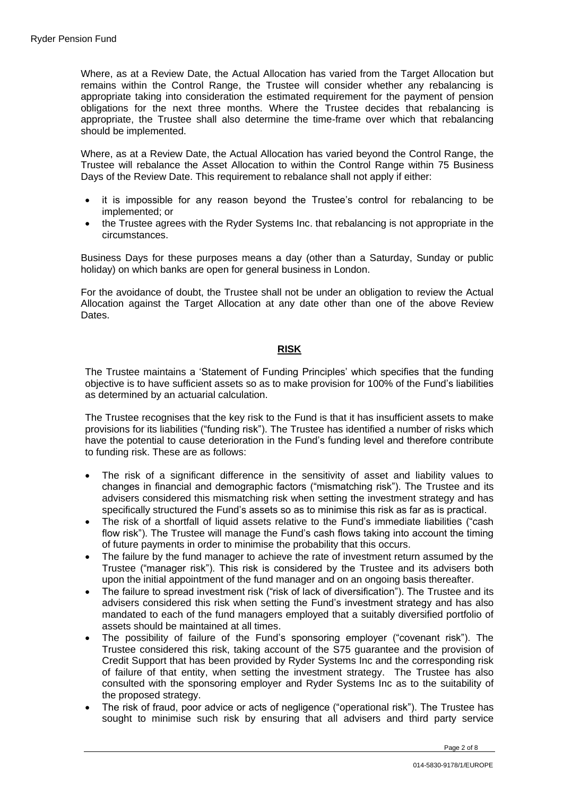Where, as at a Review Date, the Actual Allocation has varied from the Target Allocation but remains within the Control Range, the Trustee will consider whether any rebalancing is appropriate taking into consideration the estimated requirement for the payment of pension obligations for the next three months. Where the Trustee decides that rebalancing is appropriate, the Trustee shall also determine the time-frame over which that rebalancing should be implemented.

Where, as at a Review Date, the Actual Allocation has varied beyond the Control Range, the Trustee will rebalance the Asset Allocation to within the Control Range within 75 Business Days of the Review Date. This requirement to rebalance shall not apply if either:

- it is impossible for any reason beyond the Trustee's control for rebalancing to be implemented; or
- the Trustee agrees with the Ryder Systems Inc. that rebalancing is not appropriate in the circumstances.

Business Days for these purposes means a day (other than a Saturday, Sunday or public holiday) on which banks are open for general business in London.

For the avoidance of doubt, the Trustee shall not be under an obligation to review the Actual Allocation against the Target Allocation at any date other than one of the above Review Dates.

# **RISK**

The Trustee maintains a 'Statement of Funding Principles' which specifies that the funding objective is to have sufficient assets so as to make provision for 100% of the Fund's liabilities as determined by an actuarial calculation.

The Trustee recognises that the key risk to the Fund is that it has insufficient assets to make provisions for its liabilities ("funding risk"). The Trustee has identified a number of risks which have the potential to cause deterioration in the Fund's funding level and therefore contribute to funding risk. These are as follows:

- The risk of a significant difference in the sensitivity of asset and liability values to changes in financial and demographic factors ("mismatching risk"). The Trustee and its advisers considered this mismatching risk when setting the investment strategy and has specifically structured the Fund's assets so as to minimise this risk as far as is practical.
- The risk of a shortfall of liquid assets relative to the Fund's immediate liabilities ("cash flow risk"). The Trustee will manage the Fund's cash flows taking into account the timing of future payments in order to minimise the probability that this occurs.
- The failure by the fund manager to achieve the rate of investment return assumed by the Trustee ("manager risk"). This risk is considered by the Trustee and its advisers both upon the initial appointment of the fund manager and on an ongoing basis thereafter.
- The failure to spread investment risk ("risk of lack of diversification"). The Trustee and its advisers considered this risk when setting the Fund's investment strategy and has also mandated to each of the fund managers employed that a suitably diversified portfolio of assets should be maintained at all times.
- The possibility of failure of the Fund's sponsoring employer ("covenant risk"). The Trustee considered this risk, taking account of the S75 guarantee and the provision of Credit Support that has been provided by Ryder Systems Inc and the corresponding risk of failure of that entity, when setting the investment strategy. The Trustee has also consulted with the sponsoring employer and Ryder Systems Inc as to the suitability of the proposed strategy.
- The risk of fraud, poor advice or acts of negligence ("operational risk"). The Trustee has sought to minimise such risk by ensuring that all advisers and third party service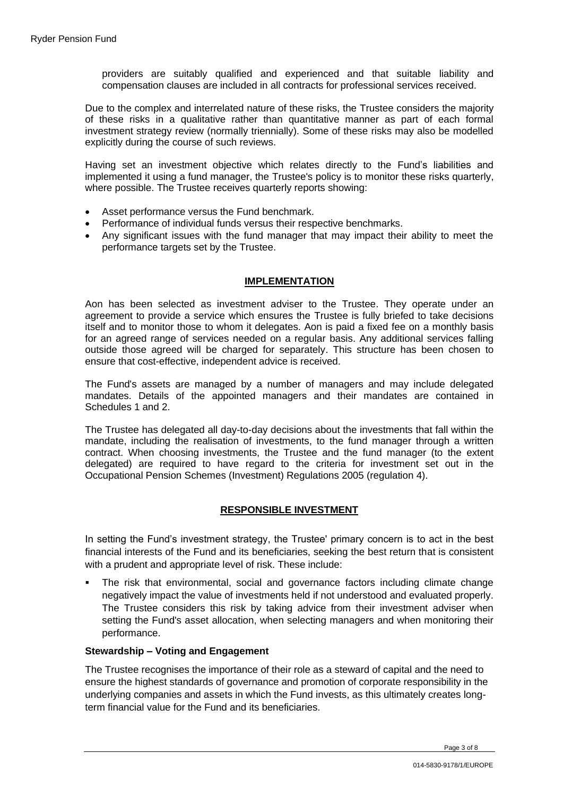providers are suitably qualified and experienced and that suitable liability and compensation clauses are included in all contracts for professional services received.

Due to the complex and interrelated nature of these risks, the Trustee considers the majority of these risks in a qualitative rather than quantitative manner as part of each formal investment strategy review (normally triennially). Some of these risks may also be modelled explicitly during the course of such reviews.

Having set an investment objective which relates directly to the Fund's liabilities and implemented it using a fund manager, the Trustee's policy is to monitor these risks quarterly, where possible. The Trustee receives quarterly reports showing:

- Asset performance versus the Fund benchmark.
- Performance of individual funds versus their respective benchmarks.
- Any significant issues with the fund manager that may impact their ability to meet the performance targets set by the Trustee.

# **IMPLEMENTATION**

Aon has been selected as investment adviser to the Trustee. They operate under an agreement to provide a service which ensures the Trustee is fully briefed to take decisions itself and to monitor those to whom it delegates. Aon is paid a fixed fee on a monthly basis for an agreed range of services needed on a regular basis. Any additional services falling outside those agreed will be charged for separately. This structure has been chosen to ensure that cost-effective, independent advice is received.

The Fund's assets are managed by a number of managers and may include delegated mandates. Details of the appointed managers and their mandates are contained in Schedules 1 and 2.

The Trustee has delegated all day-to-day decisions about the investments that fall within the mandate, including the realisation of investments, to the fund manager through a written contract. When choosing investments, the Trustee and the fund manager (to the extent delegated) are required to have regard to the criteria for investment set out in the Occupational Pension Schemes (Investment) Regulations 2005 (regulation 4).

# **RESPONSIBLE INVESTMENT**

In setting the Fund's investment strategy, the Trustee' primary concern is to act in the best financial interests of the Fund and its beneficiaries, seeking the best return that is consistent with a prudent and appropriate level of risk. These include:

The risk that environmental, social and governance factors including climate change negatively impact the value of investments held if not understood and evaluated properly. The Trustee considers this risk by taking advice from their investment adviser when setting the Fund's asset allocation, when selecting managers and when monitoring their performance.

# **Stewardship – Voting and Engagement**

The Trustee recognises the importance of their role as a steward of capital and the need to ensure the highest standards of governance and promotion of corporate responsibility in the underlying companies and assets in which the Fund invests, as this ultimately creates longterm financial value for the Fund and its beneficiaries.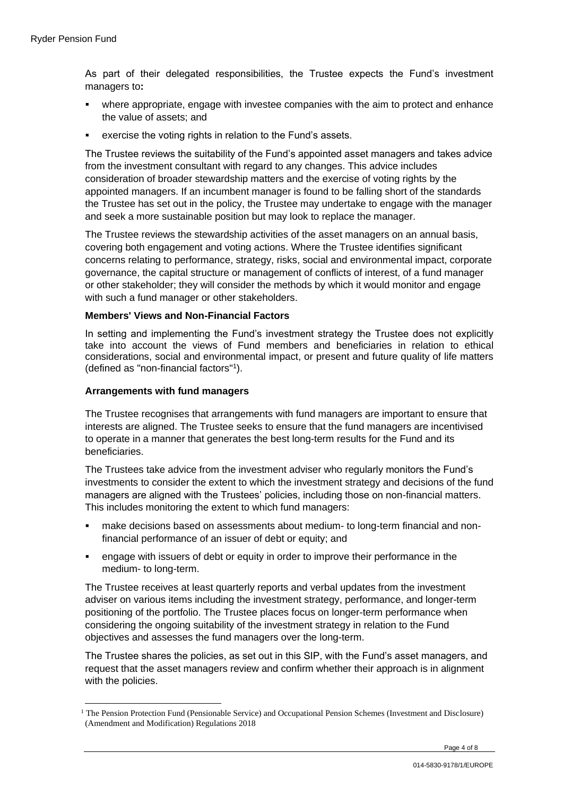As part of their delegated responsibilities, the Trustee expects the Fund's investment managers to**:**

- where appropriate, engage with investee companies with the aim to protect and enhance the value of assets; and
- exercise the voting rights in relation to the Fund's assets.

The Trustee reviews the suitability of the Fund's appointed asset managers and takes advice from the investment consultant with regard to any changes. This advice includes consideration of broader stewardship matters and the exercise of voting rights by the appointed managers. If an incumbent manager is found to be falling short of the standards the Trustee has set out in the policy, the Trustee may undertake to engage with the manager and seek a more sustainable position but may look to replace the manager.

The Trustee reviews the stewardship activities of the asset managers on an annual basis, covering both engagement and voting actions. Where the Trustee identifies significant concerns relating to performance, strategy, risks, social and environmental impact, corporate governance, the capital structure or management of conflicts of interest, of a fund manager or other stakeholder; they will consider the methods by which it would monitor and engage with such a fund manager or other stakeholders.

### **Members' Views and Non-Financial Factors**

In setting and implementing the Fund's investment strategy the Trustee does not explicitly take into account the views of Fund members and beneficiaries in relation to ethical considerations, social and environmental impact, or present and future quality of life matters (defined as "non-financial factors"<sup>1</sup> ).

### **Arrangements with fund managers**

The Trustee recognises that arrangements with fund managers are important to ensure that interests are aligned. The Trustee seeks to ensure that the fund managers are incentivised to operate in a manner that generates the best long-term results for the Fund and its beneficiaries.

The Trustees take advice from the investment adviser who regularly monitors the Fund's investments to consider the extent to which the investment strategy and decisions of the fund managers are aligned with the Trustees' policies, including those on non-financial matters. This includes monitoring the extent to which fund managers:

- make decisions based on assessments about medium- to long-term financial and nonfinancial performance of an issuer of debt or equity; and
- engage with issuers of debt or equity in order to improve their performance in the medium- to long-term.

The Trustee receives at least quarterly reports and verbal updates from the investment adviser on various items including the investment strategy, performance, and longer-term positioning of the portfolio. The Trustee places focus on longer-term performance when considering the ongoing suitability of the investment strategy in relation to the Fund objectives and assesses the fund managers over the long-term.

The Trustee shares the policies, as set out in this SIP, with the Fund's asset managers, and request that the asset managers review and confirm whether their approach is in alignment with the policies.

<sup>&</sup>lt;sup>1</sup> The Pension Protection Fund (Pensionable Service) and Occupational Pension Schemes (Investment and Disclosure) (Amendment and Modification) Regulations 2018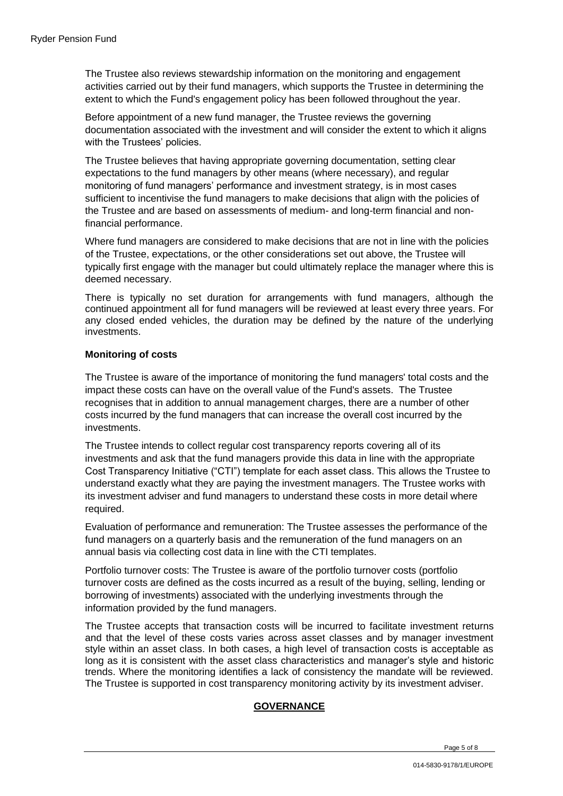The Trustee also reviews stewardship information on the monitoring and engagement activities carried out by their fund managers, which supports the Trustee in determining the extent to which the Fund's engagement policy has been followed throughout the year.

Before appointment of a new fund manager, the Trustee reviews the governing documentation associated with the investment and will consider the extent to which it aligns with the Trustees' policies.

The Trustee believes that having appropriate governing documentation, setting clear expectations to the fund managers by other means (where necessary), and regular monitoring of fund managers' performance and investment strategy, is in most cases sufficient to incentivise the fund managers to make decisions that align with the policies of the Trustee and are based on assessments of medium- and long-term financial and nonfinancial performance.

Where fund managers are considered to make decisions that are not in line with the policies of the Trustee, expectations, or the other considerations set out above, the Trustee will typically first engage with the manager but could ultimately replace the manager where this is deemed necessary.

There is typically no set duration for arrangements with fund managers, although the continued appointment all for fund managers will be reviewed at least every three years. For any closed ended vehicles, the duration may be defined by the nature of the underlying investments.

# **Monitoring of costs**

The Trustee is aware of the importance of monitoring the fund managers' total costs and the impact these costs can have on the overall value of the Fund's assets. The Trustee recognises that in addition to annual management charges, there are a number of other costs incurred by the fund managers that can increase the overall cost incurred by the investments.

The Trustee intends to collect regular cost transparency reports covering all of its investments and ask that the fund managers provide this data in line with the appropriate Cost Transparency Initiative ("CTI") template for each asset class. This allows the Trustee to understand exactly what they are paying the investment managers. The Trustee works with its investment adviser and fund managers to understand these costs in more detail where required.

Evaluation of performance and remuneration: The Trustee assesses the performance of the fund managers on a quarterly basis and the remuneration of the fund managers on an annual basis via collecting cost data in line with the CTI templates.

Portfolio turnover costs: The Trustee is aware of the portfolio turnover costs (portfolio turnover costs are defined as the costs incurred as a result of the buying, selling, lending or borrowing of investments) associated with the underlying investments through the information provided by the fund managers.

The Trustee accepts that transaction costs will be incurred to facilitate investment returns and that the level of these costs varies across asset classes and by manager investment style within an asset class. In both cases, a high level of transaction costs is acceptable as long as it is consistent with the asset class characteristics and manager's style and historic trends. Where the monitoring identifies a lack of consistency the mandate will be reviewed. The Trustee is supported in cost transparency monitoring activity by its investment adviser.

# **GOVERNANCE**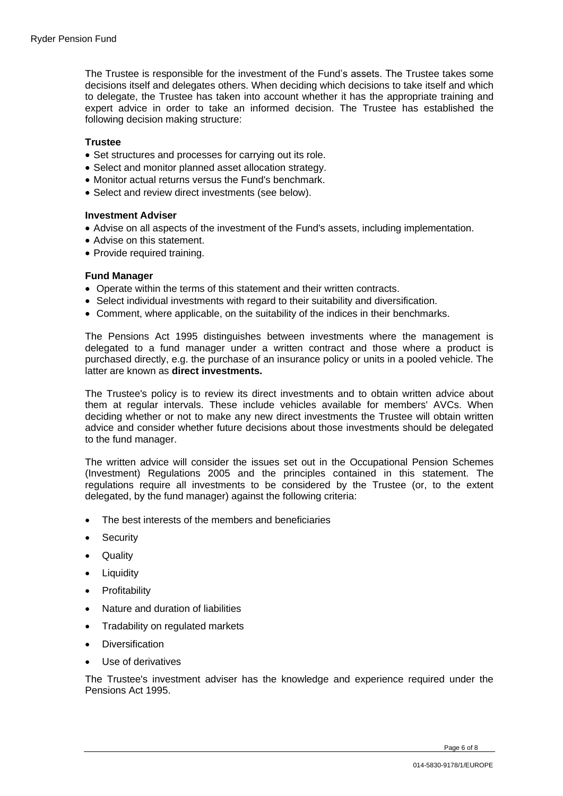The Trustee is responsible for the investment of the Fund's assets. The Trustee takes some decisions itself and delegates others. When deciding which decisions to take itself and which to delegate, the Trustee has taken into account whether it has the appropriate training and expert advice in order to take an informed decision. The Trustee has established the following decision making structure:

### **Trustee**

- Set structures and processes for carrying out its role.
- Select and monitor planned asset allocation strategy.
- Monitor actual returns versus the Fund's benchmark.
- Select and review direct investments (see below).

### **Investment Adviser**

- Advise on all aspects of the investment of the Fund's assets, including implementation.
- Advise on this statement.
- Provide required training.

### **Fund Manager**

- Operate within the terms of this statement and their written contracts.
- Select individual investments with regard to their suitability and diversification.
- Comment, where applicable, on the suitability of the indices in their benchmarks.

The Pensions Act 1995 distinguishes between investments where the management is delegated to a fund manager under a written contract and those where a product is purchased directly, e.g. the purchase of an insurance policy or units in a pooled vehicle. The latter are known as **direct investments.**

The Trustee's policy is to review its direct investments and to obtain written advice about them at regular intervals. These include vehicles available for members' AVCs. When deciding whether or not to make any new direct investments the Trustee will obtain written advice and consider whether future decisions about those investments should be delegated to the fund manager.

The written advice will consider the issues set out in the Occupational Pension Schemes (Investment) Regulations 2005 and the principles contained in this statement. The regulations require all investments to be considered by the Trustee (or, to the extent delegated, by the fund manager) against the following criteria:

- The best interests of the members and beneficiaries
- Security
- Quality
- **Liquidity**
- Profitability
- Nature and duration of liabilities
- Tradability on regulated markets
- Diversification
- Use of derivatives

The Trustee's investment adviser has the knowledge and experience required under the Pensions Act 1995.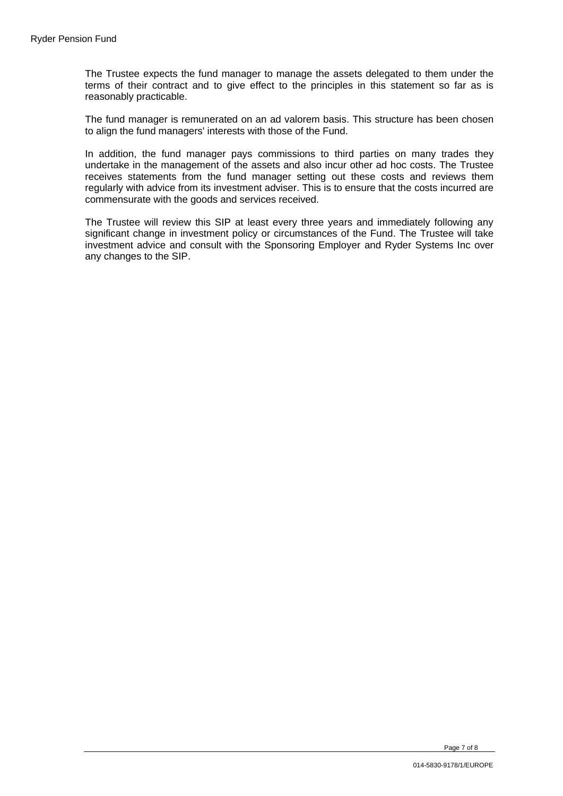The Trustee expects the fund manager to manage the assets delegated to them under the terms of their contract and to give effect to the principles in this statement so far as is reasonably practicable.

The fund manager is remunerated on an ad valorem basis. This structure has been chosen to align the fund managers' interests with those of the Fund.

In addition, the fund manager pays commissions to third parties on many trades they undertake in the management of the assets and also incur other ad hoc costs. The Trustee receives statements from the fund manager setting out these costs and reviews them regularly with advice from its investment adviser. This is to ensure that the costs incurred are commensurate with the goods and services received.

The Trustee will review this SIP at least every three years and immediately following any significant change in investment policy or circumstances of the Fund. The Trustee will take investment advice and consult with the Sponsoring Employer and Ryder Systems Inc over any changes to the SIP.